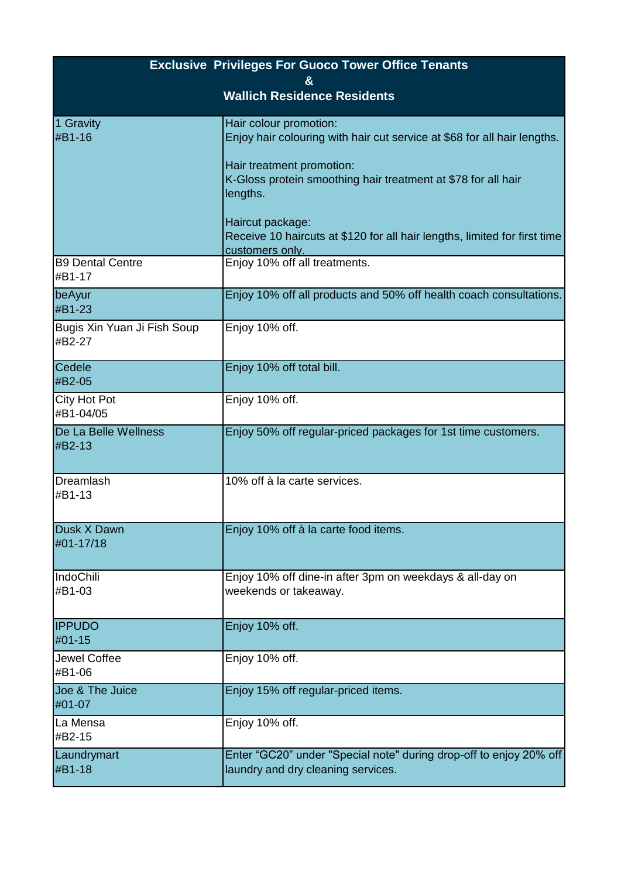| <b>Exclusive Privileges For Guoco Tower Office Tenants</b> |                                                                                                                                                                                                                                                                                                                                  |  |
|------------------------------------------------------------|----------------------------------------------------------------------------------------------------------------------------------------------------------------------------------------------------------------------------------------------------------------------------------------------------------------------------------|--|
| &<br><b>Wallich Residence Residents</b>                    |                                                                                                                                                                                                                                                                                                                                  |  |
| 1 Gravity<br>#B1-16                                        | Hair colour promotion:<br>Enjoy hair colouring with hair cut service at \$68 for all hair lengths.<br>Hair treatment promotion:<br>K-Gloss protein smoothing hair treatment at \$78 for all hair<br>lengths.<br>Haircut package:<br>Receive 10 haircuts at \$120 for all hair lengths, limited for first time<br>customers only. |  |
| <b>B9 Dental Centre</b><br>#B1-17                          | Enjoy 10% off all treatments.                                                                                                                                                                                                                                                                                                    |  |
| beAyur<br>#B1-23                                           | Enjoy 10% off all products and 50% off health coach consultations.                                                                                                                                                                                                                                                               |  |
| Bugis Xin Yuan Ji Fish Soup<br>#B2-27                      | Enjoy 10% off.                                                                                                                                                                                                                                                                                                                   |  |
| Cedele<br>#B2-05                                           | Enjoy 10% off total bill.                                                                                                                                                                                                                                                                                                        |  |
| <b>City Hot Pot</b><br>#B1-04/05                           | Enjoy 10% off.                                                                                                                                                                                                                                                                                                                   |  |
| De La Belle Wellness<br>#B2-13                             | Enjoy 50% off regular-priced packages for 1st time customers.                                                                                                                                                                                                                                                                    |  |
| Dreamlash<br>#B1-13                                        | 10% off à la carte services.                                                                                                                                                                                                                                                                                                     |  |
| <b>Dusk X Dawn</b><br>#01-17/18                            | Enjoy 10% off à la carte food items.                                                                                                                                                                                                                                                                                             |  |
| IndoChili<br>#B1-03                                        | Enjoy 10% off dine-in after 3pm on weekdays & all-day on<br>weekends or takeaway.                                                                                                                                                                                                                                                |  |
| <b>IPPUDO</b><br>#01-15                                    | Enjoy 10% off.                                                                                                                                                                                                                                                                                                                   |  |
| Jewel Coffee<br>#B1-06                                     | Enjoy 10% off.                                                                                                                                                                                                                                                                                                                   |  |
| Joe & The Juice<br>#01-07                                  | Enjoy 15% off regular-priced items.                                                                                                                                                                                                                                                                                              |  |
| La Mensa<br>#B2-15                                         | Enjoy 10% off.                                                                                                                                                                                                                                                                                                                   |  |
| Laundrymart<br>#B1-18                                      | Enter "GC20" under "Special note" during drop-off to enjoy 20% off<br>laundry and dry cleaning services.                                                                                                                                                                                                                         |  |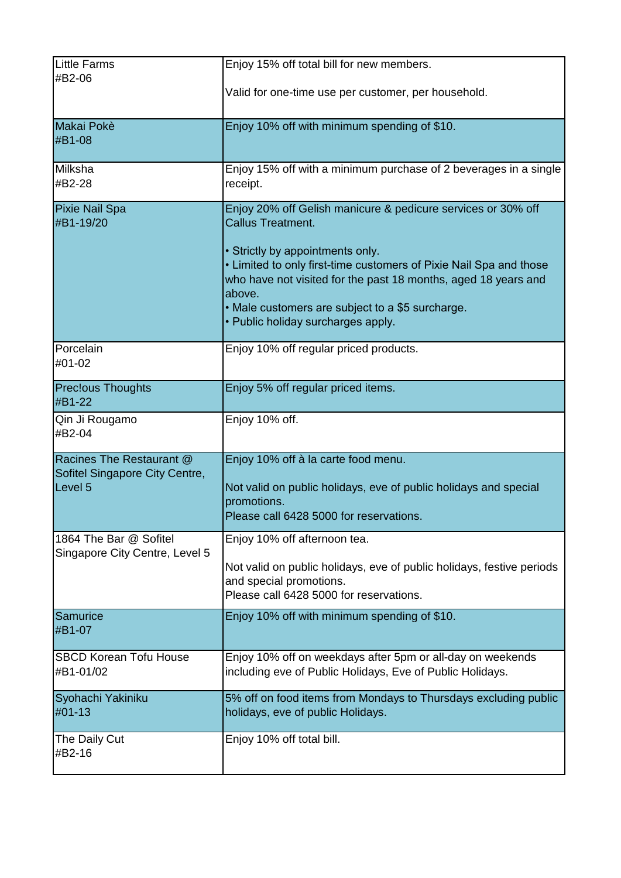| Little Farms<br>#B2-06                                                           | Enjoy 15% off total bill for new members.<br>Valid for one-time use per customer, per household.                                                                                                                                                                                                                                                                         |
|----------------------------------------------------------------------------------|--------------------------------------------------------------------------------------------------------------------------------------------------------------------------------------------------------------------------------------------------------------------------------------------------------------------------------------------------------------------------|
| Makai Pokè<br>#B1-08                                                             | Enjoy 10% off with minimum spending of \$10.                                                                                                                                                                                                                                                                                                                             |
| Milksha<br>#B2-28                                                                | Enjoy 15% off with a minimum purchase of 2 beverages in a single<br>receipt.                                                                                                                                                                                                                                                                                             |
| <b>Pixie Nail Spa</b><br>#B1-19/20                                               | Enjoy 20% off Gelish manicure & pedicure services or 30% off<br><b>Callus Treatment.</b><br>• Strictly by appointments only.<br>. Limited to only first-time customers of Pixie Nail Spa and those<br>who have not visited for the past 18 months, aged 18 years and<br>above.<br>• Male customers are subject to a \$5 surcharge.<br>• Public holiday surcharges apply. |
| Porcelain<br>#01-02                                                              | Enjoy 10% off regular priced products.                                                                                                                                                                                                                                                                                                                                   |
| <b>Preclous Thoughts</b><br>#B1-22                                               | Enjoy 5% off regular priced items.                                                                                                                                                                                                                                                                                                                                       |
| Qin Ji Rougamo<br>#B2-04                                                         | Enjoy 10% off.                                                                                                                                                                                                                                                                                                                                                           |
| Racines The Restaurant @<br>Sofitel Singapore City Centre,<br>Level <sub>5</sub> | Enjoy 10% off à la carte food menu.<br>Not valid on public holidays, eve of public holidays and special<br>promotions.<br>Please call 6428 5000 for reservations.                                                                                                                                                                                                        |
| 1864 The Bar @ Sofitel<br>Singapore City Centre, Level 5                         | Enjoy 10% off afternoon tea.<br>Not valid on public holidays, eve of public holidays, festive periods<br>and special promotions.<br>Please call 6428 5000 for reservations.                                                                                                                                                                                              |
| Samurice<br>#B1-07                                                               | Enjoy 10% off with minimum spending of \$10.                                                                                                                                                                                                                                                                                                                             |
| <b>SBCD Korean Tofu House</b><br>#B1-01/02                                       | Enjoy 10% off on weekdays after 5pm or all-day on weekends<br>including eve of Public Holidays, Eve of Public Holidays.                                                                                                                                                                                                                                                  |
| Syohachi Yakiniku<br>#01-13                                                      | 5% off on food items from Mondays to Thursdays excluding public<br>holidays, eve of public Holidays.                                                                                                                                                                                                                                                                     |
| The Daily Cut<br>#B2-16                                                          | Enjoy 10% off total bill.                                                                                                                                                                                                                                                                                                                                                |